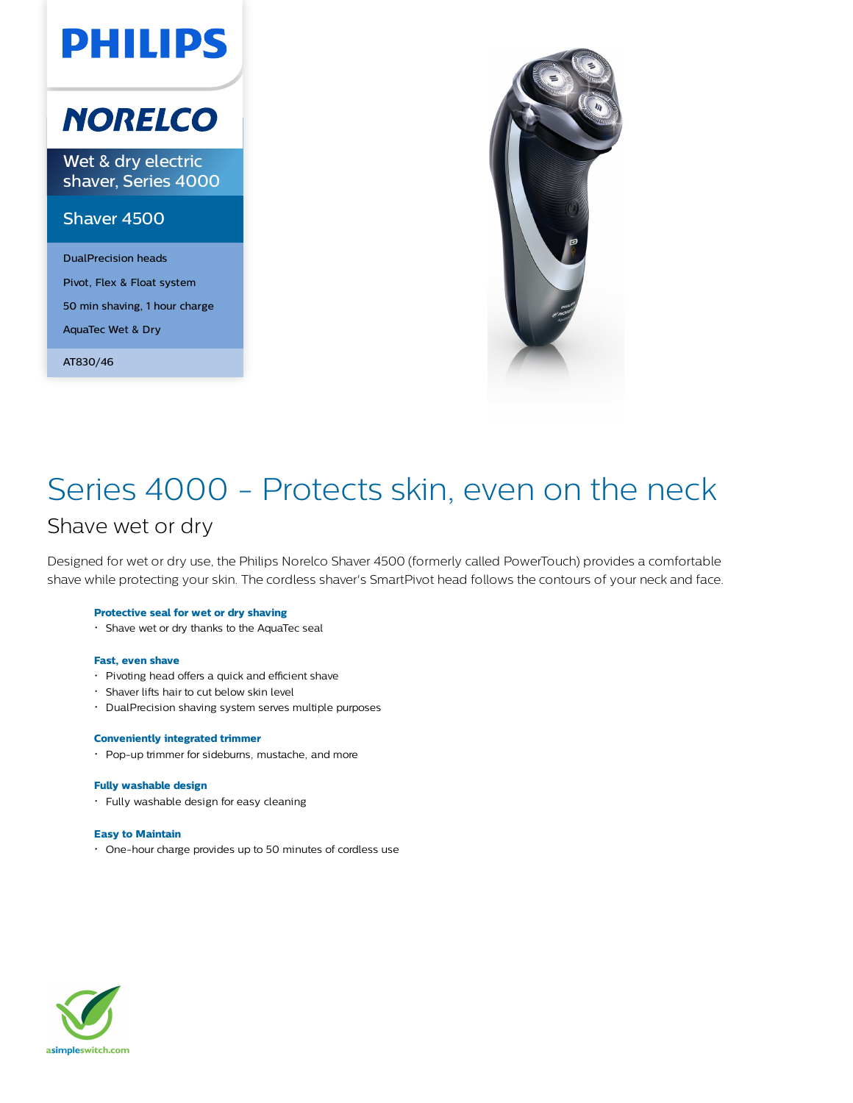# **PHILIPS**

## **NORELCO**

Wet & dry electric shaver, Series 4000

### Shaver 4500

DualPrecision heads Pivot, Flex & Float system 50 min shaving, 1 hour charge AquaTec Wet & Dry

AT830/46



### Series 4000 - Protects skin, even on the neck Shave wet or dry

Designed for wet or dry use, the Philips Norelco Shaver 4500 (formerly called PowerTouch) provides a comfortable shave while protecting your skin. The cordless shaver's SmartPivot head follows the contours of your neck and face.

#### **Protective seal for wet or dry shaving**

Shave wet or dry thanks to the AquaTec seal

#### **Fast, even shave**

- Pivoting head offers a quick and efficient shave
- Shaver lifts hair to cut below skin level
- DualPrecision shaving system serves multiple purposes

#### **Conveniently integrated trimmer**

Pop-up trimmer for sideburns, mustache, and more

#### **Fully washable design**

Fully washable design for easy cleaning

#### **Easy to Maintain**

One-hour charge provides up to 50 minutes of cordless use

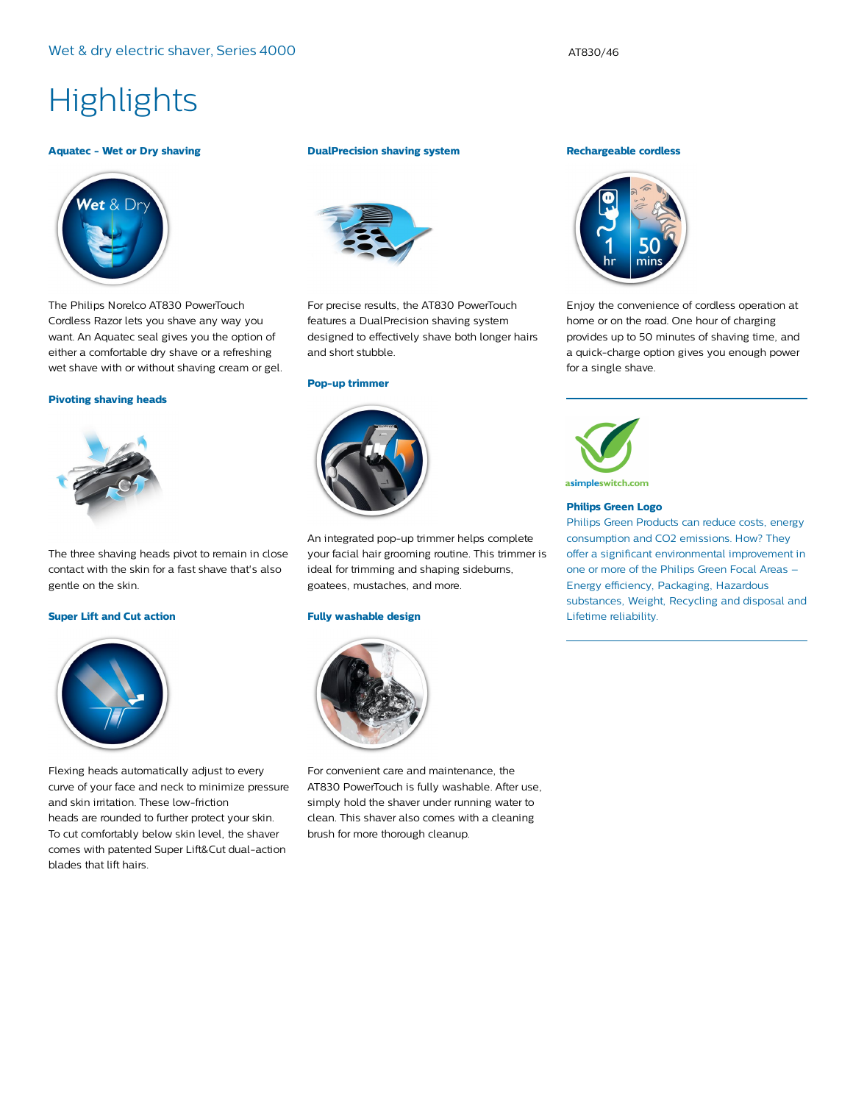### **Highlights**

#### **Aquatec - Wet or Dry shaving**



The Philips Norelco AT830 PowerTouch Cordless Razor lets you shave any way you want. An Aquatec seal gives you the option of either a comfortable dry shave or a refreshing wet shave with or without shaving cream or gel.

#### **Pivoting shaving heads**



The three shaving heads pivot to remain in close contact with the skin for a fast shave that's also gentle on the skin.

#### **Super Lift and Cut action**



Flexing heads automatically adjust to every curve of your face and neck to minimize pressure and skin irritation. These low-friction heads are rounded to further protect your skin. To cut comfortably below skin level, the shaver comes with patented Super Lift&Cut dual-action blades that lift hairs.

#### **DualPrecision shaving system**



For precise results, the AT830 PowerTouch features a DualPrecision shaving system designed to effectively shave both longer hairs and short stubble.

#### **Pop-up trimmer**



An integrated pop-up trimmer helps complete your facial hair grooming routine. This trimmer is ideal for trimming and shaping sideburns, goatees, mustaches, and more.

#### **Fully washable design**



For convenient care and maintenance, the AT830 PowerTouch is fully washable. After use, simply hold the shaver under running water to clean. This shaver also comes with a cleaning brush for more thorough cleanup.

#### **Rechargeable cordless**



Enjoy the convenience of cordless operation at home or on the road. One hour of charging provides up to 50 minutes of shaving time, and a quick-charge option gives you enough power for a single shave.



#### **Philips Green Logo**

Philips Green Products can reduce costs, energy consumption and CO2 emissions. How? They offer a significant environmental improvement in one or more of the Philips Green Focal Areas – Energy efficiency, Packaging, Hazardous substances, Weight, Recycling and disposal and Lifetime reliability.